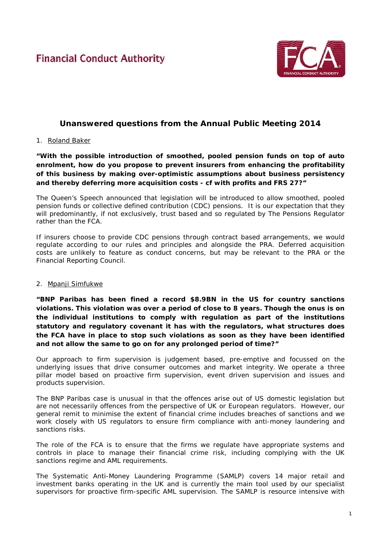# **Financial Conduct Authority**



## **Unanswered questions from the Annual Public Meeting 2014**

## 1. Roland Baker

*"With the possible introduction of smoothed, pooled pension funds on top of auto enrolment, how do you propose to prevent insurers from enhancing the profitability of this business by making over-optimistic assumptions about business persistency and thereby deferring more acquisition costs - cf with profits and FRS 27?"*

The Queen's Speech announced that legislation will be introduced to allow smoothed, pooled pension funds or collective defined contribution (CDC) pensions. It is our expectation that they will predominantly, if not exclusively, trust based and so regulated by The Pensions Regulator rather than the FCA.

If insurers choose to provide CDC pensions through contract based arrangements, we would regulate according to our rules and principles and alongside the PRA. Deferred acquisition costs are unlikely to feature as conduct concerns, but may be relevant to the PRA or the Financial Reporting Council.

#### 2. Mpanji Simfukwe

*"BNP Paribas has been fined a record \$8.9BN in the US for country sanctions violations. This violation was over a period of close to 8 years. Though the onus is on the individual institutions to comply with regulation as part of the institutions statutory and regulatory covenant it has with the regulators, what structures does the FCA have in place to stop such violations as soon as they have been identified and not allow the same to go on for any prolonged period of time?"*

Our approach to firm supervision is judgement based, pre-emptive and focussed on the underlying issues that drive consumer outcomes and market integrity. We operate a three pillar model based on proactive firm supervision, event driven supervision and issues and products supervision.

The BNP Paribas case is unusual in that the offences arise out of US domestic legislation but are not necessarily offences from the perspective of UK or European regulators. However, our general remit to minimise the extent of financial crime includes breaches of sanctions and we work closely with US regulators to ensure firm compliance with anti-money laundering and sanctions risks.

The role of the FCA is to ensure that the firms we regulate have appropriate systems and controls in place to manage their financial crime risk, including complying with the UK sanctions regime and AML requirements.

The Systematic Anti-Money Laundering Programme (SAMLP) covers 14 major retail and investment banks operating in the UK and is currently the main tool used by our specialist supervisors for proactive firm-specific AML supervision. The SAMLP is resource intensive with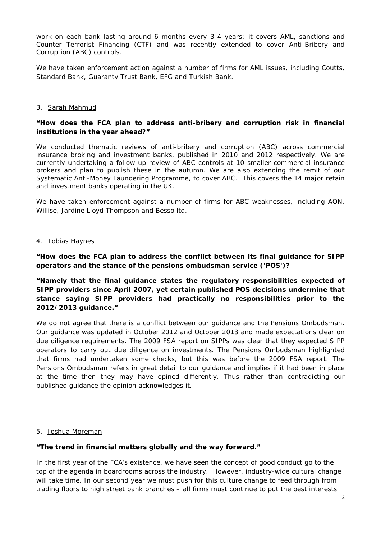work on each bank lasting around 6 months every 3-4 years; it covers AML, sanctions and Counter Terrorist Financing (CTF) and was recently extended to cover Anti-Bribery and Corruption (ABC) controls.

We have taken enforcement action against a number of firms for AML issues, including Coutts, Standard Bank, Guaranty Trust Bank, EFG and Turkish Bank.

## 3. Sarah Mahmud

## *"How does the FCA plan to address anti-bribery and corruption risk in financial institutions in the year ahead?"*

We conducted thematic reviews of anti-bribery and corruption (ABC) across commercial insurance broking and investment banks, published in 2010 and 2012 respectively. We are currently undertaking a follow-up review of ABC controls at 10 smaller commercial insurance brokers and plan to publish these in the autumn. We are also extending the remit of our Systematic Anti-Money Laundering Programme, to cover ABC. This covers the 14 major retain and investment banks operating in the UK.

We have taken enforcement against a number of firms for ABC weaknesses, including AON, Willise, Jardine Lloyd Thompson and Besso ltd.

#### 4. Tobias Haynes

## *"How does the FCA plan to address the conflict between its final guidance for SIPP operators and the stance of the pensions ombudsman service ('POS')?*

## *"Namely that the final guidance states the regulatory responsibilities expected of SIPP providers since April 2007, yet certain published POS decisions undermine that stance saying SIPP providers had practically no responsibilities prior to the 2012/2013 guidance."*

We do not agree that there is a conflict between our guidance and the Pensions Ombudsman. Our guidance was updated in October 2012 and October 2013 and made expectations clear on due diligence requirements. The 2009 FSA report on SIPPs was clear that they expected SIPP operators to carry out due diligence on investments. The Pensions Ombudsman highlighted that firms had undertaken some checks, but this was before the 2009 FSA report. The Pensions Ombudsman refers in great detail to our guidance and implies if it had been in place at the time then they may have opined differently. Thus rather than contradicting our published guidance the opinion acknowledges it.

#### 5. Joshua Moreman

#### *"The trend in financial matters globally and the way forward."*

In the first year of the FCA's existence, we have seen the concept of good conduct go to the top of the agenda in boardrooms across the industry. However, industry-wide cultural change will take time. In our second year we must push for this culture change to feed through from trading floors to high street bank branches – all firms must continue to put the best interests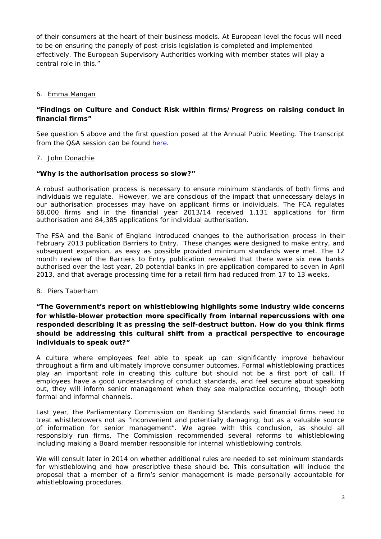of their consumers at the heart of their business models. At European level the focus will need to be on ensuring the panoply of post-crisis legislation is completed and implemented effectively. The European Supervisory Authorities working with member states will play a central role in this."

## 6. Emma Mangan

## *"Findings on Culture and Conduct Risk within firms/Progress on raising conduct in financial firms"*

See question 5 above and the first question posed at the Annual Public Meeting. The transcript from the Q&A session can be found [here.](http://www.fca.org.uk/your-fca/documents/transcripts-question-and-answer)

## 7. John Donachie

## *"Why is the authorisation process so slow?"*

A robust authorisation process is necessary to ensure minimum standards of both firms and individuals we regulate. However, we are conscious of the impact that unnecessary delays in our authorisation processes may have on applicant firms or individuals. The FCA regulates 68,000 firms and in the financial year 2013/14 received 1,131 applications for firm authorisation and 84,385 applications for individual authorisation.

The FSA and the Bank of England introduced changes to the authorisation process in their February 2013 publication *Barriers to Entry*. These changes were designed to make entry, and subsequent expansion, as easy as possible provided minimum standards were met. The 12 month review of the *Barriers to Entry* publication revealed that there were six new banks authorised over the last year, 20 potential banks in pre-application compared to seven in April 2013, and that average processing time for a retail firm had reduced from 17 to 13 weeks.

#### 8. Piers Taberham

## *"The Government's report on whistleblowing highlights some industry wide concerns*  for whistle-blower protection more specifically from internal repercussions with one *responded describing it as pressing the self-destruct button. How do you think firms should be addressing this cultural shift from a practical perspective to encourage individuals to speak out?"*

A culture where employees feel able to speak up can significantly improve behaviour throughout a firm and ultimately improve consumer outcomes. Formal whistleblowing practices play an important role in creating this culture but should not be a first port of call. If employees have a good understanding of conduct standards, and feel secure about speaking out, they will inform senior management when they see malpractice occurring, though both formal and informal channels.

Last year, the Parliamentary Commission on Banking Standards said financial firms need to treat whistleblowers not as "inconvenient and potentially damaging, but as a valuable source of information for senior management". We agree with this conclusion, as should all responsibly run firms. The Commission recommended several reforms to whistleblowing including making a Board member responsible for internal whistleblowing controls.

We will consult later in 2014 on whether additional rules are needed to set minimum standards for whistleblowing and how prescriptive these should be. This consultation will include the proposal that a member of a firm's senior management is made personally accountable for whistleblowing procedures.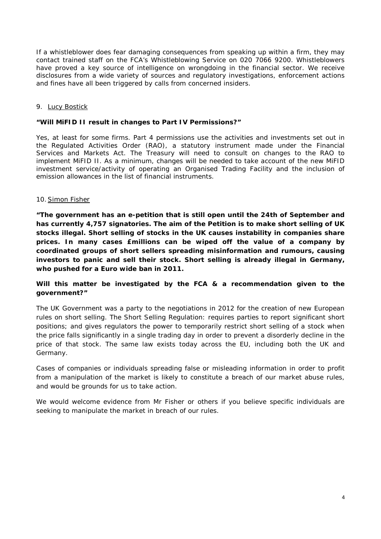If a whistleblower does fear damaging consequences from speaking up within a firm, they may contact trained staff on the FCA's Whistleblowing Service on 020 7066 9200. Whistleblowers have proved a key source of intelligence on wrongdoing in the financial sector. We receive disclosures from a wide variety of sources and regulatory investigations, enforcement actions and fines have all been triggered by calls from concerned insiders.

## 9. Lucy Bostick

#### *"Will MiFID II result in changes to Part IV Permissions?"*

Yes, at least for some firms. Part 4 permissions use the activities and investments set out in the Regulated Activities Order (RAO), a statutory instrument made under the Financial Services and Markets Act. The Treasury will need to consult on changes to the RAO to implement MiFID II. As a minimum, changes will be needed to take account of the new MiFID investment service/activity of operating an Organised Trading Facility and the inclusion of emission allowances in the list of financial instruments.

#### 10.Simon Fisher

*"The government has an e-petition that is still open until the 24th of September and has currently 4,757 signatories. The aim of the Petition is to make short selling of UK stocks illegal. Short selling of stocks in the UK causes instability in companies share prices. In many cases £millions can be wiped off the value of a company by coordinated groups of short sellers spreading misinformation and rumours, causing investors to panic and sell their stock. Short selling is already illegal in Germany, who pushed for a Euro wide ban in 2011.* 

## *Will this matter be investigated by the FCA & a recommendation given to the government?"*

The UK Government was a party to the negotiations in 2012 for the creation of new European rules on short selling. The Short Selling Regulation: requires parties to report significant short positions; and gives regulators the power to temporarily restrict short selling of a stock when the price falls significantly in a single trading day in order to prevent a disorderly decline in the price of that stock. The same law exists today across the EU, including both the UK and Germany.

Cases of companies or individuals spreading false or misleading information in order to profit from a manipulation of the market is likely to constitute a breach of our market abuse rules, and would be grounds for us to take action.

We would welcome evidence from Mr Fisher or others if you believe specific individuals are seeking to manipulate the market in breach of our rules.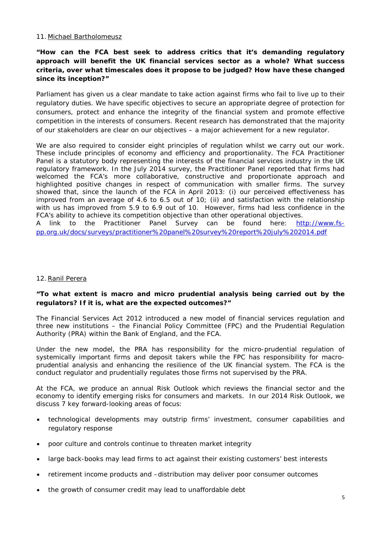## 11. Michael Bartholomeusz

## *"How can the FCA best seek to address critics that it's demanding regulatory approach will benefit the UK financial services sector as a whole? What success criteria, over what timescales does it propose to be judged? How have these changed since its inception?"*

Parliament has given us a clear mandate to take action against firms who fail to live up to their regulatory duties. We have specific objectives to secure an appropriate degree of protection for consumers, protect and enhance the integrity of the financial system and promote effective competition in the interests of consumers. Recent research has demonstrated that the majority of our stakeholders are clear on our objectives – a major achievement for a new regulator.

We are also required to consider eight principles of regulation whilst we carry out our work. These include principles of economy and efficiency and proportionality. The FCA Practitioner Panel is a statutory body representing the interests of the financial services industry in the UK regulatory framework. In the July 2014 survey, the Practitioner Panel reported that firms had welcomed the FCA's more collaborative, constructive and proportionate approach and highlighted positive changes in respect of communication with smaller firms. The survey showed that, since the launch of the FCA in April 2013: (i) our perceived effectiveness has improved from an average of 4.6 to 6.5 out of 10; (ii) and satisfaction with the relationship with us has improved from 5.9 to 6.9 out of 10. However, firms had less confidence in the FCA's ability to achieve its competition objective than other operational objectives.

A link to the Practitioner Panel Survey can be found here: [http://www.fs](http://www.fs-pp.org.uk/docs/surveys/practitioner%20panel%20survey%20report%20july%202014.pdf)[pp.org.uk/docs/surveys/practitioner%20panel%20survey%20report%20july%202014.pdf](http://www.fs-pp.org.uk/docs/surveys/practitioner%20panel%20survey%20report%20july%202014.pdf)

#### 12.Ranil Perera

## *"To what extent is macro and micro prudential analysis being carried out by the regulators? If it is, what are the expected outcomes?"*

The Financial Services Act 2012 introduced a new model of financial services regulation and three new institutions – the Financial Policy Committee (FPC) and the Prudential Regulation Authority (PRA) within the Bank of England, and the FCA.

Under the new model, the PRA has responsibility for the micro-prudential regulation of systemically important firms and deposit takers while the FPC has responsibility for macroprudential analysis and enhancing the resilience of the UK financial system. The FCA is the conduct regulator and prudentially regulates those firms not supervised by the PRA.

At the FCA, we produce an annual Risk Outlook which reviews the financial sector and the economy to identify emerging risks for consumers and markets. In our 2014 Risk Outlook, we discuss 7 key forward-looking areas of focus:

- technological developments may outstrip firms' investment, consumer capabilities and regulatory response
- poor culture and controls continue to threaten market integrity
- large back-books may lead firms to act against their existing customers' best interests
- retirement income products and –distribution may deliver poor consumer outcomes
- the growth of consumer credit may lead to unaffordable debt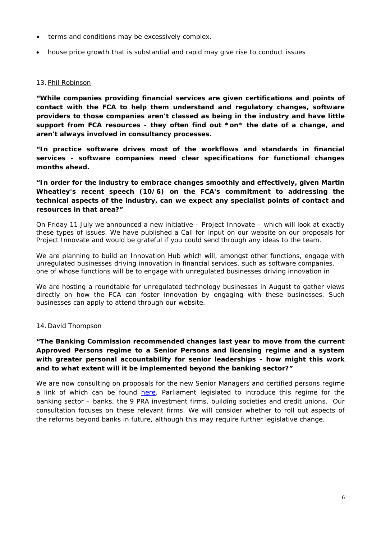- terms and conditions may be excessively complex.
- house price growth that is substantial and rapid may give rise to conduct issues

## 13. Phil Robinson

*"While companies providing financial services are given certifications and points of contact with the FCA to help them understand and regulatory changes, software providers to those companies aren't classed as being in the industry and have little support from FCA resources - they often find out \*on\* the date of a change, and aren't always involved in consultancy processes.* 

*"In practice software drives most of the workflows and standards in financial services - software companies need clear specifications for functional changes months ahead.*

*"In order for the industry to embrace changes smoothly and effectively, given Martin Wheatley's recent speech (10/6) on the FCA's commitment to addressing the technical aspects of the industry, can we expect any specialist points of contact and resources in that area?"*

On Friday 11 July we announced a new initiative – Project Innovate – which will look at exactly these types of issues. We have published a Call for Input on our website on our proposals for Project Innovate and would be grateful if you could send through any ideas to the team.

We are planning to build an Innovation Hub which will, amongst other functions, engage with unregulated businesses driving innovation in financial services, such as software companies. one of whose functions will be to engage with unregulated businesses driving innovation in

We are hosting a roundtable for unregulated technology businesses in August to gather views directly on how the FCA can foster innovation by engaging with these businesses. Such businesses can apply to attend through our website.

## 14. David Thompson

## *"The Banking Commission recommended changes last year to move from the current Approved Persons regime to a Senior Persons and licensing regime and a system with greater personal accountability for senior leaderships - how might this work and to what extent will it be implemented beyond the banking sector?"*

We are now consulting on proposals for the new Senior Managers and certified persons regime a link of which can be found [here.](http://www.fca.org.uk/news/consultation-papers/cp14-13-strengthening-accountability-in-banking) Parliament legislated to introduce this regime for the banking sector – banks, the 9 PRA investment firms, building societies and credit unions. Our consultation focuses on these relevant firms. We will consider whether to roll out aspects of the reforms beyond banks in future, although this may require further legislative change.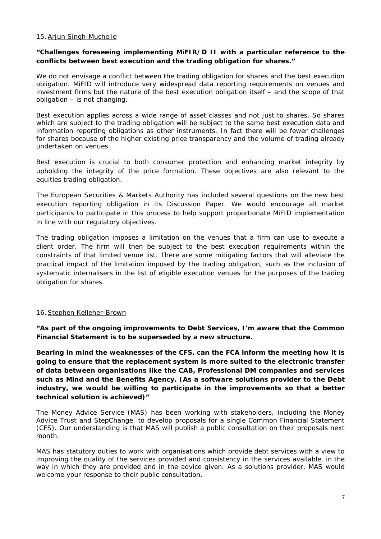#### 15.Arjun Singh-Muchelle

## *"Challenges foreseeing implementing MiFIR/D II with a particular reference to the conflicts between best execution and the trading obligation for shares."*

We do not envisage a conflict between the trading obligation for shares and the best execution obligation. MiFID will introduce very widespread data reporting requirements on venues and investment firms but the nature of the best execution obligation itself – and the scope of that obligation – is not changing.

Best execution applies across a wide range of asset classes and not just to shares. So shares which are subject to the trading obligation will be subject to the same best execution data and information reporting obligations as other instruments. In fact there will be fewer challenges for shares because of the higher existing price transparency and the volume of trading already undertaken on venues.

Best execution is crucial to both consumer protection and enhancing market integrity by upholding the integrity of the price formation. These objectives are also relevant to the equities trading obligation.

The European Securities & Markets Authority has included several questions on the new best execution reporting obligation in its Discussion Paper. We would encourage all market participants to participate in this process to help support proportionate MiFID implementation in line with our regulatory objectives.

The trading obligation imposes a limitation on the venues that a firm can use to execute a client order. The firm will then be subject to the best execution requirements within the constraints of that limited venue list. There are some mitigating factors that will alleviate the practical impact of the limitation imposed by the trading obligation, such as the inclusion of systematic internalisers in the list of eligible execution venues for the purposes of the trading obligation for shares.

## 16. Stephen Kelleher-Brown

*"As part of the ongoing improvements to Debt Services, I'm aware that the Common Financial Statement is to be superseded by a new structure.* 

*Bearing in mind the weaknesses of the CFS, can the FCA inform the meeting how it is going to ensure that the replacement system is more suited to the electronic transfer of data between organisations like the CAB, Professional DM companies and services such as Mind and the Benefits Agency. (As a software solutions provider to the Debt*  industry, we would be willing to participate in the improvements so that a better *technical solution is achieved)"*

The Money Advice Service (MAS) has been working with stakeholders, including the Money Advice Trust and StepChange, to develop proposals for a single Common Financial Statement (CFS). Our understanding is that MAS will publish a public consultation on their proposals next month.

MAS has statutory duties to work with organisations which provide debt services with a view to improving the quality of the services provided and consistency in the services available, in the way in which they are provided and in the advice given. As a solutions provider, MAS would welcome your response to their public consultation.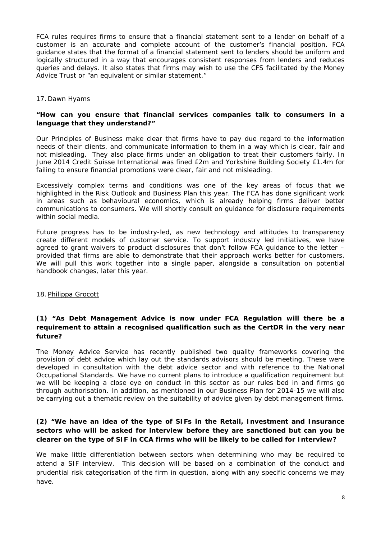FCA rules requires firms to ensure that a financial statement sent to a lender on behalf of a customer is an accurate and complete account of the customer's financial position. FCA guidance states that the format of a financial statement sent to lenders should be uniform and logically structured in a way that encourages consistent responses from lenders and reduces queries and delays. It also states that firms may wish to use the CFS facilitated by the Money Advice Trust or "an equivalent or similar statement."

#### 17. Dawn Hyams

## *"How can you ensure that financial services companies talk to consumers in a language that they understand?"*

Our Principles of Business make clear that firms have to pay due regard to the information needs of their clients, and communicate information to them in a way which is clear, fair and not misleading. They also place firms under an obligation to treat their customers fairly. In June 2014 Credit Suisse International was fined £2m and Yorkshire Building Society £1.4m for failing to ensure financial promotions were clear, fair and not misleading.

Excessively complex terms and conditions was one of the key areas of focus that we highlighted in the Risk Outlook and Business Plan this year. The FCA has done significant work in areas such as behavioural economics, which is already helping firms deliver better communications to consumers. We will shortly consult on guidance for disclosure requirements within social media.

Future progress has to be industry-led, as new technology and attitudes to transparency create different models of customer service. To support industry led initiatives, we have agreed to grant waivers to product disclosures that don't follow FCA guidance to the letter – provided that firms are able to demonstrate that their approach works better for customers. We will pull this work together into a single paper, alongside a consultation on potential handbook changes, later this year.

#### 18. Philippa Grocott

## *(1) "As Debt Management Advice is now under FCA Regulation will there be a requirement to attain a recognised qualification such as the CertDR in the very near future?*

The Money Advice Service has recently published two quality frameworks covering the provision of debt advice which lay out the standards advisors should be meeting. These were developed in consultation with the debt advice sector and with reference to the National Occupational Standards. We have no current plans to introduce a qualification requirement but we will be keeping a close eye on conduct in this sector as our rules bed in and firms go through authorisation. In addition, as mentioned in our Business Plan for 2014-15 we will also be carrying out a thematic review on the suitability of advice given by debt management firms.

## *(2) "We have an idea of the type of SIFs in the Retail, Investment and Insurance sectors who will be asked for interview before they are sanctioned but can you be clearer on the type of SIF in CCA firms who will be likely to be called for Interview?*

We make little differentiation between sectors when determining who may be required to attend a SIF interview. This decision will be based on a combination of the conduct and prudential risk categorisation of the firm in question, along with any specific concerns we may have.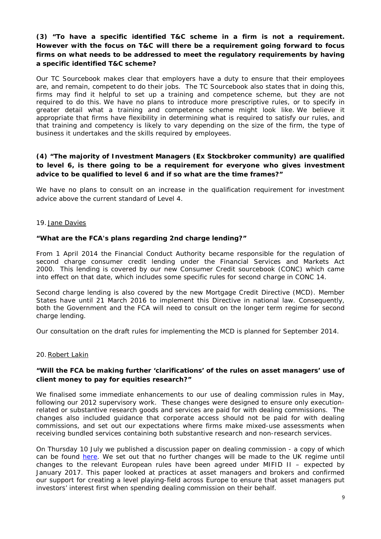## *(3) "To have a specific identified T&C scheme in a firm is not a requirement. However with the focus on T&C will there be a requirement going forward to focus firms on what needs to be addressed to meet the regulatory requirements by having a specific identified T&C scheme?*

Our TC Sourcebook makes clear that employers have a duty to ensure that their employees are, and remain, competent to do their jobs. The TC Sourcebook also states that in doing this, firms may find it helpful to set up a training and competence scheme, but they are not required to do this. We have no plans to introduce more prescriptive rules, or to specify in greater detail what a training and competence scheme might look like. We believe it appropriate that firms have flexibility in determining what is required to satisfy our rules, and that training and competency is likely to vary depending on the size of the firm, the type of business it undertakes and the skills required by employees.

## *(4) "The majority of Investment Managers (Ex Stockbroker community) are qualified*  to level 6, is there going to be a requirement for everyone who gives investment *advice to be qualified to level 6 and if so what are the time frames?"*

We have no plans to consult on an increase in the qualification requirement for investment advice above the current standard of Level 4.

#### 19. Jane Davies

#### *"What are the FCA's plans regarding 2nd charge lending?"*

From 1 April 2014 the Financial Conduct Authority became responsible for the regulation of second charge consumer credit lending under the Financial Services and Markets Act 2000. This lending is covered by our new Consumer Credit sourcebook (CONC) which came into effect on that date, which includes some specific rules for second charge in CONC 14.

Second charge lending is also covered by the new Mortgage Credit Directive (MCD). Member States have until 21 March 2016 to implement this Directive in national law. Consequently, both the Government and the FCA will need to consult on the longer term regime for second charge lending.

Our consultation on the draft rules for implementing the MCD is planned for September 2014.

#### 20.Robert Lakin

#### *"Will the FCA be making further 'clarifications' of the rules on asset managers' use of client money to pay for equities research?"*

We finalised some immediate enhancements to our use of dealing commission rules in May, following our 2012 supervisory work. These changes were designed to ensure only executionrelated or substantive research goods and services are paid for with dealing commissions. The changes also included guidance that corporate access should not be paid for with dealing commissions, and set out our expectations where firms make mixed-use assessments when receiving bundled services containing both substantive research and non-research services.

On Thursday 10 July we published a discussion paper on dealing commission - a copy of which can be found [here.](http://www.fca.org.uk/news/dp14-03-the-use-of-dealing-commission-regime) We set out that no further changes will be made to the UK regime until changes to the relevant European rules have been agreed under MIFID II – expected by January 2017. This paper looked at practices at asset managers and brokers and confirmed our support for creating a level playing-field across Europe to ensure that asset managers put investors' interest first when spending dealing commission on their behalf.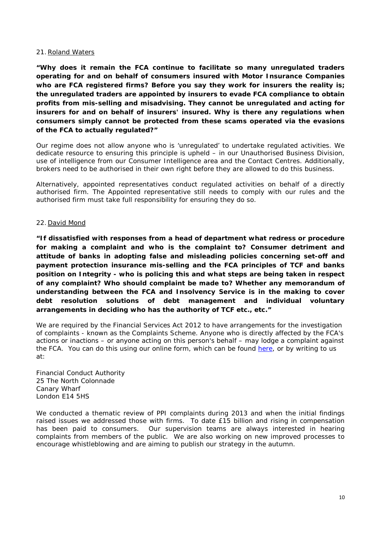#### 21.Roland Waters

*"Why does it remain the FCA continue to facilitate so many unregulated traders operating for and on behalf of consumers insured with Motor Insurance Companies who are FCA registered firms? Before you say they work for insurers the reality is; the unregulated traders are appointed by insurers to evade FCA compliance to obtain profits from mis-selling and misadvising. They cannot be unregulated and acting for insurers for and on behalf of insurers' insured. Why is there any regulations when consumers simply cannot be protected from these scams operated via the evasions of the FCA to actually regulated?"*

Our regime does not allow anyone who is 'unregulated' to undertake regulated activities. We dedicate resource to ensuring this principle is upheld – in our Unauthorised Business Division, use of intelligence from our Consumer Intelligence area and the Contact Centres. Additionally, brokers need to be authorised in their own right before they are allowed to do this business.

Alternatively, appointed representatives conduct regulated activities on behalf of a directly authorised firm. The Appointed representative still needs to comply with our rules and the authorised firm must take full responsibility for ensuring they do so.

#### 22. David Mond

*"If dissatisfied with responses from a head of department what redress or procedure for making a complaint and who is the complaint to? Consumer detriment and attitude of banks in adopting false and misleading policies concerning set-off and payment protection insurance mis-selling and the FCA principles of TCF and banks position on Integrity - who is policing this and what steps are being taken in respect of any complaint? Who should complaint be made to? Whether any memorandum of understanding between the FCA and Insolvency Service is in the making to cover debt resolution solutions of debt management and individual voluntary arrangements in deciding who has the authority of TCF etc., etc."*

We are required by the Financial Services Act 2012 to have arrangements for the investigation of complaints - known as the Complaints Scheme. Anyone who is directly affected by the FCA's actions or inactions – or anyone acting on this person's behalf – may lodge a complaint against the FCA. You can do this using our online form, which can be found [here,](http://www.fca.org.uk/about/governance/complaining-about-us/complaints-form) or by writing to us at:

Financial Conduct Authority 25 The North Colonnade Canary Wharf London E14 5HS

We conducted a thematic review of PPI complaints during 2013 and when the initial findings raised issues we addressed those with firms. To date £15 billion and rising in compensation has been paid to consumers. Our supervision teams are always interested in hearing complaints from members of the public. We are also working on new improved processes to encourage whistleblowing and are aiming to publish our strategy in the autumn.